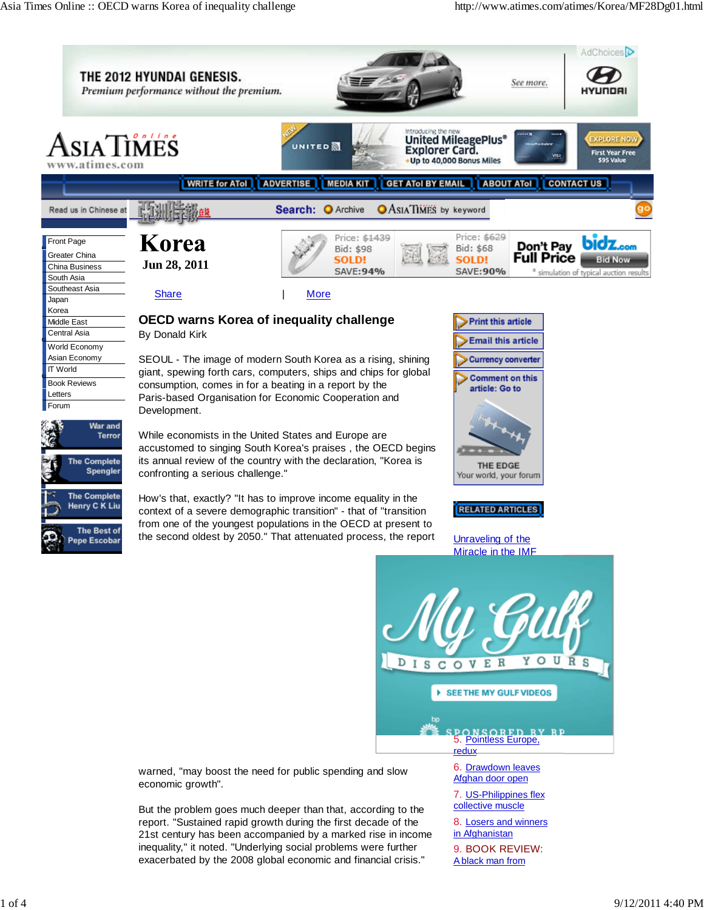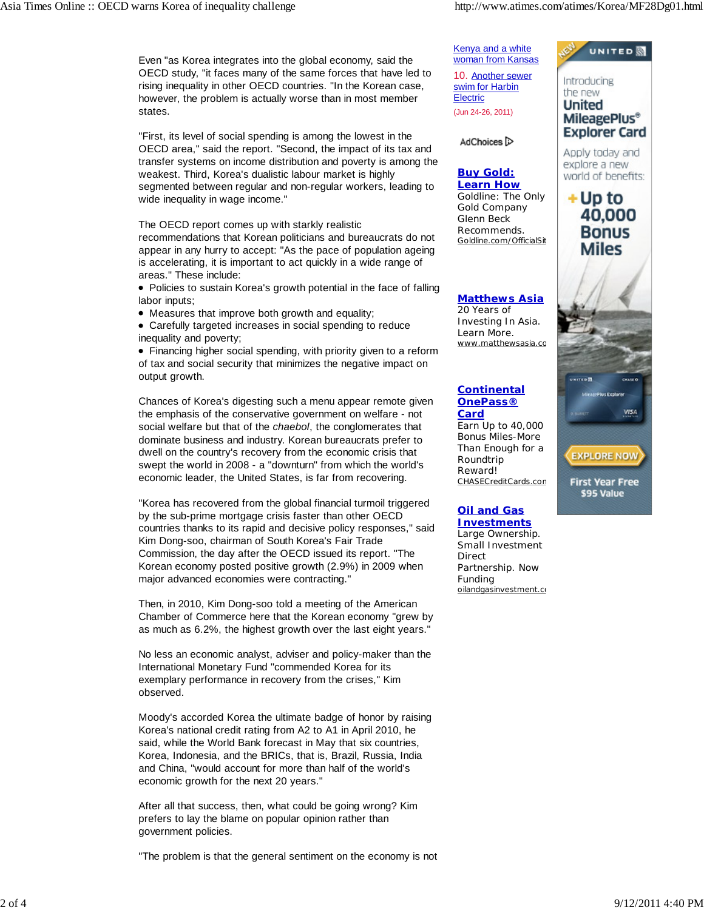Even "as Korea integrates into the global economy, said the OECD study, "it faces many of the same forces that have led to rising inequality in other OECD countries. "In the Korean case, however, the problem is actually worse than in most member states.

"First, its level of social spending is among the lowest in the OECD area," said the report. "Second, the impact of its tax and transfer systems on income distribution and poverty is among the weakest. Third, Korea's dualistic labour market is highly segmented between regular and non-regular workers, leading to wide inequality in wage income."

The OECD report comes up with starkly realistic recommendations that Korean politicians and bureaucrats do not appear in any hurry to accept: "As the pace of population ageing is accelerating, it is important to act quickly in a wide range of areas." These include:

• Policies to sustain Korea's growth potential in the face of falling labor inputs;

Measures that improve both growth and equality;

Carefully targeted increases in social spending to reduce inequality and poverty;

Financing higher social spending, with priority given to a reform of tax and social security that minimizes the negative impact on output growth.

Chances of Korea's digesting such a menu appear remote given the emphasis of the conservative government on welfare - not social welfare but that of the *chaebol*, the conglomerates that dominate business and industry. Korean bureaucrats prefer to dwell on the country's recovery from the economic crisis that swept the world in 2008 - a "downturn" from which the world's economic leader, the United States, is far from recovering.

"Korea has recovered from the global financial turmoil triggered by the sub-prime mortgage crisis faster than other OECD countries thanks to its rapid and decisive policy responses," said Kim Dong-soo, chairman of South Korea's Fair Trade Commission, the day after the OECD issued its report. "The Korean economy posted positive growth (2.9%) in 2009 when major advanced economies were contracting."

Then, in 2010, Kim Dong-soo told a meeting of the American Chamber of Commerce here that the Korean economy "grew by as much as 6.2%, the highest growth over the last eight years."

No less an economic analyst, adviser and policy-maker than the International Monetary Fund "commended Korea for its exemplary performance in recovery from the crises," Kim observed.

Moody's accorded Korea the ultimate badge of honor by raising Korea's national credit rating from A2 to A1 in April 2010, he said, while the World Bank forecast in May that six countries, Korea, Indonesia, and the BRICs, that is, Brazil, Russia, India and China, "would account for more than half of the world's economic growth for the next 20 years."

After all that success, then, what could be going wrong? Kim prefers to lay the blame on popular opinion rather than government policies.

"The problem is that the general sentiment on the economy is not



## **Oil and Gas Investments**

Electric (Jun 24-26, 2011)

Glenn Beck

AdChoices<sup>[2]</sup>

20 Years of

Learn More.

**Card**

Roundtrip Reward!

Large Ownership. Small Investment Direct Partnership. Now Funding oilandgasinvestment.co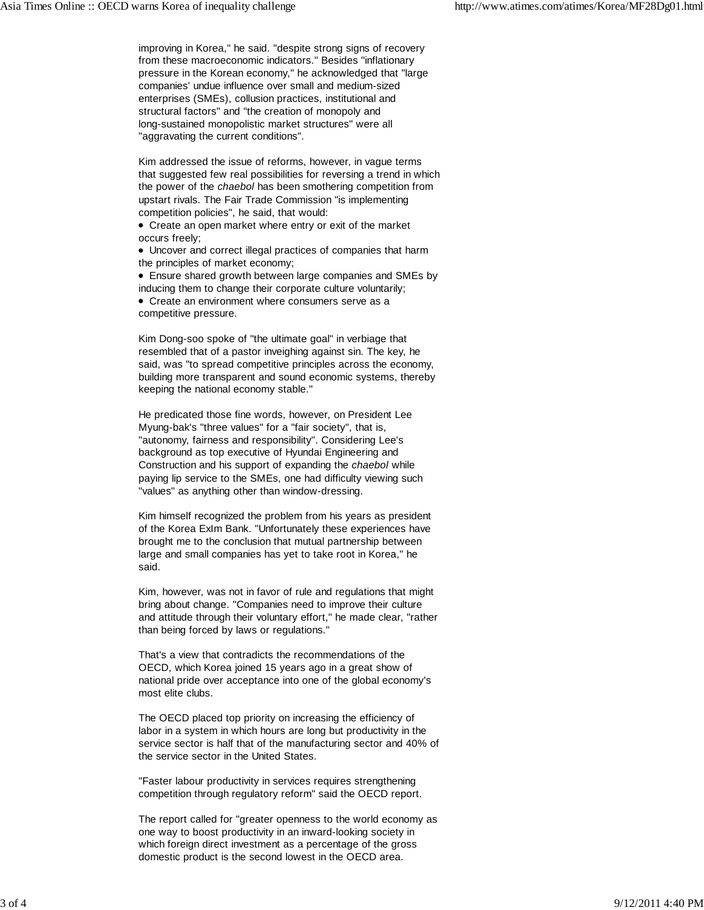improving in Korea," he said. "despite strong signs of recovery from these macroeconomic indicators." Besides "inflationary pressure in the Korean economy," he acknowledged that "large companies' undue influence over small and medium-sized enterprises (SMEs), collusion practices, institutional and structural factors" and "the creation of monopoly and long-sustained monopolistic market structures" were all "aggravating the current conditions".

Kim addressed the issue of reforms, however, in vague terms that suggested few real possibilities for reversing a trend in which the power of the *chaebol* has been smothering competition from upstart rivals. The Fair Trade Commission "is implementing competition policies", he said, that would:

Create an open market where entry or exit of the market occurs freely;

Uncover and correct illegal practices of companies that harm the principles of market economy;

Ensure shared growth between large companies and SMEs by

inducing them to change their corporate culture voluntarily; Create an environment where consumers serve as a competitive pressure.

Kim Dong-soo spoke of "the ultimate goal" in verbiage that resembled that of a pastor inveighing against sin. The key, he said, was "to spread competitive principles across the economy, building more transparent and sound economic systems, thereby keeping the national economy stable."

He predicated those fine words, however, on President Lee Myung-bak's "three values" for a "fair society", that is, "autonomy, fairness and responsibility". Considering Lee's background as top executive of Hyundai Engineering and Construction and his support of expanding the *chaebol* while paying lip service to the SMEs, one had difficulty viewing such "values" as anything other than window-dressing.

Kim himself recognized the problem from his years as president of the Korea ExIm Bank. "Unfortunately these experiences have brought me to the conclusion that mutual partnership between large and small companies has yet to take root in Korea," he said.

Kim, however, was not in favor of rule and regulations that might bring about change. "Companies need to improve their culture and attitude through their voluntary effort," he made clear, "rather than being forced by laws or regulations."

That's a view that contradicts the recommendations of the OECD, which Korea joined 15 years ago in a great show of national pride over acceptance into one of the global economy's most elite clubs.

The OECD placed top priority on increasing the efficiency of labor in a system in which hours are long but productivity in the service sector is half that of the manufacturing sector and 40% of the service sector in the United States.

"Faster labour productivity in services requires strengthening competition through regulatory reform" said the OECD report.

The report called for "greater openness to the world economy as one way to boost productivity in an inward-looking society in which foreign direct investment as a percentage of the gross domestic product is the second lowest in the OECD area.